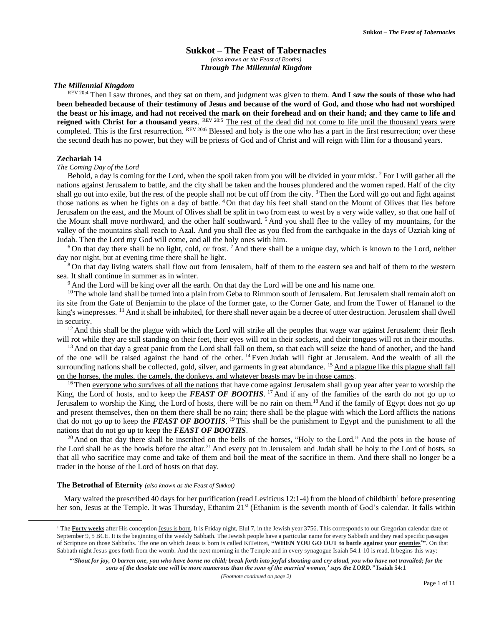# **Sukkot – The Feast of Tabernacles** *(also known as the Feast of Booths) Through The Millennial Kingdom*

### *The Millennial Kingdom*

REV 20:4 Then I saw thrones, and they sat on them, and judgment was given to them. **And I** *saw* **the souls of those who had been beheaded because of their testimony of Jesus and because of the word of God, and those who had not worshiped the beast or his image, and had not received the mark on their forehead and on their hand; and they came to life and**  reigned with Christ for a thousand years. <sup>REV 20:5</sup> The rest of the dead did not come to life until the thousand years were completed. This is the first resurrection. REV 20.6 Blessed and holy is the one who has a part in the first resurrection; over these the second death has no power, but they will be priests of God and of Christ and will reign with Him for a thousand years.

# **Zechariah 14**

### *The Coming Day of the Lord*

Behold, a day is coming for the Lord, when the spoil taken from you will be divided in your midst. <sup>2</sup>For I will gather all the nations against Jerusalem to battle, and the city shall be taken and the houses plundered and the women raped. Half of the city shall go out into exile, but the rest of the people shall not be cut off from the city.<sup>3</sup> Then the Lord will go out and fight against those nations as when he fights on a day of battle. <sup>4</sup> On that day his feet shall stand on the Mount of Olives that lies before Jerusalem on the east, and the Mount of Olives shall be split in two from east to west by a very wide valley, so that one half of the Mount shall move northward, and the other half southward. <sup>5</sup> And you shall flee to the valley of my mountains, for the valley of the mountains shall reach to Azal. And you shall flee as you fled from the earthquake in the days of Uzziah king of Judah. Then the Lord my God will come, and all the holy ones with him.

<sup>6</sup>On that day there shall be no light, cold, or frost.<sup>7</sup> And there shall be a unique day, which is known to the Lord, neither day nor night, but at evening time there shall be light.

<sup>8</sup> On that day living waters shall flow out from Jerusalem, half of them to the eastern sea and half of them to the western sea. It shall continue in summer as in winter.

<sup>9</sup> And the Lord will be king over all the earth. On that day the Lord will be one and his name one.

 $10$ The whole land shall be turned into a plain from Geba to Rimmon south of Jerusalem. But Jerusalem shall remain aloft on its site from the Gate of Benjamin to the place of the former gate, to the Corner Gate, and from the Tower of Hananel to the king's winepresses. <sup>11</sup> And it shall be inhabited, for there shall never again be a decree of utter destruction. Jerusalem shall dwell in security.

 $12$  And this shall be the plague with which the Lord will strike all the peoples that wage war against Jerusalem: their flesh will rot while they are still standing on their feet, their eyes will rot in their sockets, and their tongues will rot in their mouths.

<sup>13</sup> And on that day a great panic from the Lord shall fall on them, so that each will seize the hand of another, and the hand of the one will be raised against the hand of the other. <sup>14</sup> Even Judah will fight at Jerusalem. And the wealth of all the surrounding nations shall be collected, gold, silver, and garments in great abundance. <sup>15</sup> And a plague like this plague shall fall on the horses, the mules, the camels, the donkeys, and whatever beasts may be in those camps.

<sup>16</sup>Then everyone who survives of all the nations that have come against Jerusalem shall go up year after year to worship the King, the Lord of hosts, and to keep the *FEAST OF BOOTHS*. <sup>17</sup> And if any of the families of the earth do not go up to Jerusalem to worship the King, the Lord of hosts, there will be no rain on them.<sup>18</sup> And if the family of Egypt does not go up and present themselves, then on them there shall be no rain; there shall be the plague with which the Lord afflicts the nations that do not go up to keep the *FEAST OF BOOTHS*. <sup>19</sup> This shall be the punishment to Egypt and the punishment to all the nations that do not go up to keep the *FEAST OF BOOTHS*.

 $20$  And on that day there shall be inscribed on the bells of the horses, "Holy to the Lord." And the pots in the house of the Lord shall be as the bowls before the altar.<sup>21</sup> And every pot in Jerusalem and Judah shall be holy to the Lord of hosts, so that all who sacrifice may come and take of them and boil the meat of the sacrifice in them. And there shall no longer be a trader in the house of the Lord of hosts on that day.

#### **The Betrothal of Eternity** *(also known as the Feast of Sukkot)*

Mary waited the prescribed 40 days for her purification (read Leviticus 12:1-4) from the blood of childbirth<sup>1</sup> before presenting her son, Jesus at the Temple. It was Thursday, Ethanim 21<sup>st</sup> (Ethanim is the seventh month of God's calendar. It falls within

<sup>&</sup>lt;sup>1</sup> The Forty weeks after His conception Jesus is born. It is Friday night, Elul 7, in the Jewish year 3756. This corresponds to our Gregorian calendar date of September 9, 5 BCE. It is the beginning of the weekly Sabbath. The Jewish people have a particular name for every Sabbath and they read specific passages of Scripture on those Sabbaths. The one on which Jesus is born is called KiTeitzei, **"WHEN YOU GO OUT to battle against your enemies\*"**. On that Sabbath night Jesus goes forth from the womb. And the next morning in the Temple and in every synagogue Isaiah 54:1-10 is read. It begins this way:

*<sup>&</sup>quot;'Shout for joy, O barren one, you who have borne no child; break forth into joyful shouting and cry aloud, you who have not travailed; for the sons of the desolate one will be more numerous than the sons of the married woman,' says the LORD."* **Isaiah 54:1**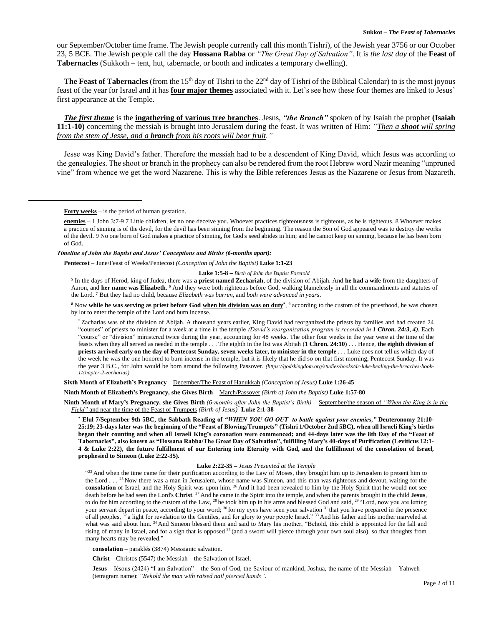our September/October time frame. The Jewish people currently call this month Tishri), of the Jewish year 3756 or our October 23, 5 BCE. The Jewish people call the day **Hossana Rabba** or *"The Great Day of Salvation"*. It is *the last day* of the **Feast of Tabernacles** (Sukkoth – tent, hut, tabernacle, or booth and indicates a temporary dwelling).

**The Feast of Tabernacles** (from the 15<sup>th</sup> day of Tishri to the 22<sup>nd</sup> day of Tishri of the Biblical Calendar) to is the most joyous feast of the year for Israel and it has **four major themes** associated with it. Let's see how these four themes are linked to Jesus' first appearance at the Temple.

*The first theme* is the **ingathering of various tree branches**. Jesus, *"the Branch"* spoken of by Isaiah the prophet **(Isaiah 11:1-10)** concerning the messiah is brought into Jerusalem during the feast. It was written of Him: *"Then a shoot will spring from the stem of Jesse, and a branch from his roots will bear fruit."*

Jesse was King David's father. Therefore the messiah had to be a descendent of King David, which Jesus was according to the genealogies. The shoot or branch in the prophecy can also be rendered from the root Hebrew word Nazir meaning "unpruned vine" from whence we get the word Nazarene. This is why the Bible references Jesus as the Nazarene or Jesus from Nazareth.

**Forty weeks** – is the period of human gestation.

#### *Timeline of John the Baptist and Jesus' Conceptions and Births (6-months apart):*

**Pentecost** – June/Feast of Weeks/Pentecost *(Conception of John the Baptist)* **Luke 1:1-23**

**Luke 1:5-8 –** *Birth of John the Baptist Foretold*

**5** In the days of Herod, king of Judea, there was **a priest named Zechariah**, of the division of Abijah. And **he had a wife** from the daughters of Aaron, and **her name was Elizabeth**. **<sup>6</sup>** And they were both righteous before God, walking blamelessly in all the commandments and statutes of the Lord. **<sup>7</sup>** But they had no child, because *Elizabeth was barren*, and *both were advanced in years*.

**<sup>8</sup>** Now **while he was serving as priest before God when his division was on duty\*** , **<sup>9</sup>** according to the custom of the priesthood, he was chosen by lot to enter the temple of the Lord and burn incense.

\* Zacharias was of the division of Abijah. A thousand years earlier, King David had reorganized the priests by families and had created 24 "courses" of priests to minister for a week at a time in the temple *(David's reorganization program is recorded in 1 Chron. 24:3, 4)*. Each "course" or "division" ministered twice during the year, accounting for 48 weeks. The other four weeks in the year were at the time of the feasts when they all served as needed in the temple . . . The eighth in the list was Abijah (**1 Chron. 24:10**) . . . Hence, **the eighth division of priests arrived early on the day of Pentecost Sunday, seven weeks later, to minister in the temple** . . . Luke does not tell us which day of the week he was the one honored to burn incense in the temple, but it is likely that he did so on that first morning, Pentecost Sunday. It was the year 3 B.C., for John would be born around the following Passover. *(https://godskingdom.org/studies/books/dr-luke-healing-the-breaches-book-1/chapter-2-zacharias)*

**Sixth Month of Elizabeth's Pregnancy** – December/The Feast of Hanukkah *(Conception of Jesus)* **Luke 1:26-45**

**Ninth Month of Elizabeth's Pregnancy, she Gives Birth** – March/Passover *(Birth of John the Baptist)* **Luke 1:57-80**

**Ninth Month of Mary's Pregnancy, she Gives Birth** *(6-months after John the Baptist's Birth)* – September/the season of *"When the King is in the Field"* and near the time of the Feast of Trumpets *(Birth of Jesus)\** **Luke 2:1-38**

**\* Elul 7/September 9th 5BC, the Sabbath Reading of** *"WHEN YOU GO OUT to battle against your enemies,"* **Deuteronomy 21:10- 25:19; 23-days later was the beginning of the "Feast of Blowing/Trumpets" (Tishri 1/October 2nd 5BC), when all Israeli King's births began their counting and when all Israeli King's coronation were commenced; and 44-days later was the 8th Day of the "Feast of Tabernacles", also known as "Hossana Rabba/The Great Day of Salvation", fulfilling Mary's 40-days of Purification (Leviticus 12:1- 4 & Luke 2:22), the future fulfillment of our Entering into Eternity with God, and the fulfillment of the consolation of Israel, prophesied to Simeon (Luke 2:22-35).**

#### **Luke 2:22-35** *– Jesus Presented at the Temple*

 $^{422}$  And when the time came for their purification according to the Law of Moses, they brought him up to Jerusalem to present him to the Lord . . . <sup>25</sup> Now there was a man in Jerusalem, whose name was Simeon, and this man was righteous and devout, waiting for the consolation of Israel, and the Holy Spirit was upon him. <sup>26</sup> And it had been revealed to him by the Holy Spirit that he would not see death before he had seen the Lord's **Christ**. <sup>27</sup> And he came in the Spirit into the temple, and when the parents brought in the child **Jesus**, to do for him according to the custom of the Law, <sup>28</sup> he took him up in his arms and blessed God and said, <sup>29</sup> "Lord, now you are letting your servant depart in peace, according to your word; <sup>30</sup> for my eyes have seen your salvation <sup>31</sup> that you have prepared in the presence of all peoples,  $32$  a light for revelation to the Gentiles, and for glory to your people Israel."  $33$  And his father and his mother marveled at what was said about him. <sup>34</sup> And Simeon blessed them and said to Mary his mother, "Behold, this child is appointed for the fall and rising of many in Israel, and for a sign that is opposed <sup>35</sup> (and a sword will pierce through your own soul also), so that thoughts from many hearts may be revealed."

**consolation** – paraklés (3874) Messianic salvation.

**Christ** – Christos (5547) the Messiah – the Salvation of Israel.

**Jesus** – Iésous (2424) "I am Salvation" – the Son of God, the Saviour of mankind, Joshua, the name of the Messiah – Yahweh (tetragram name): *"Behold the man with raised nail pierced hands"*.

**enemies –** 1 John 3:7-9 7 Little children, let no one deceive you. Whoever practices righteousness is righteous, as he is righteous. 8 Whoever makes a practice of sinning is of the devil, for the devil has been sinning from the beginning. The reason the Son of God appeared was to destroy the works of the devil. 9 No one born of God makes a practice of sinning, for God's seed abides in him; and he cannot keep on sinning, because he has been born of God.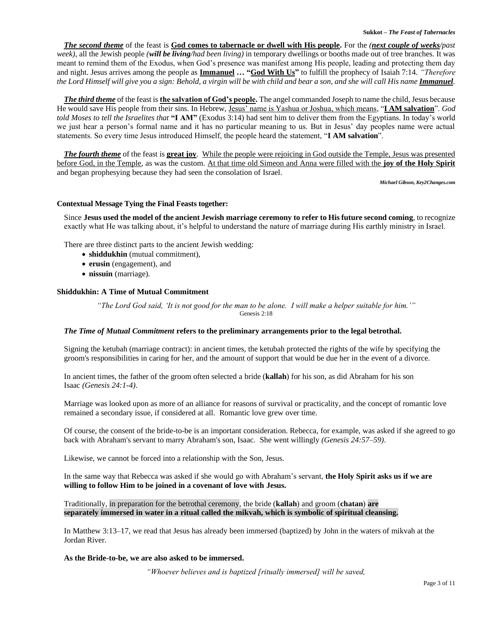*The second theme* of the feast is **God comes to tabernacle or dwell with His people.** For the *(next couple of weeks/past week)*, all the Jewish people *(will be living/had been living)* in temporary dwellings or booths made out of tree branches. It was meant to remind them of the Exodus, when God's presence was manifest among His people, leading and protecting them day and night. Jesus arrives among the people as **Immanuel … "God With Us"** to fulfill the prophecy of Isaiah 7:14. *"Therefore*  the Lord Himself will give you a sign: Behold, a virgin will be with child and bear a son, and she will call His name *Immanuel*.

*The third theme* of the feast is **the salvation of God's people.** The angel commanded Joseph to name the child, Jesus because He would save His people from their sins. In Hebrew, Jesus' name is Yashua or Joshua, which means, "**I AM salvation**". *God told Moses to tell the Israelites that* **"I AM"** (Exodus 3:14) had sent him to deliver them from the Egyptians. In today's world we just hear a person's formal name and it has no particular meaning to us. But in Jesus' day peoples name were actual statements. So every time Jesus introduced Himself, the people heard the statement, "**I AM salvation**".

*The fourth theme* of the feast is **great joy**. While the people were rejoicing in God outside the Temple, Jesus was presented before God, in the Temple, as was the custom. At that time old Simeon and Anna were filled with the **joy of the Holy Spirit** and began prophesying because they had seen the consolation of Israel.

*Michael Gibson, Key2Changes.com*

# **Contextual Message Tying the Final Feasts together:**

Since **Jesus used the model of the ancient Jewish marriage ceremony to refer to His future second coming**, to recognize exactly what He was talking about, it's helpful to understand the nature of marriage during His earthly ministry in Israel.

There are three distinct parts to the ancient Jewish wedding:

- **shiddukhin** (mutual commitment),
- **erusin** (engagement), and
- **nissuin** (marriage).

# **Shiddukhin: A Time of Mutual Commitment**

*"The Lord God said, 'It is not good for the man to be alone. I will make a helper suitable for him.'"* Genesis 2:18

# *The Time of Mutual Commitment* **refers to the preliminary arrangements prior to the legal betrothal.**

Signing the ketubah (marriage contract): in ancient times, the ketubah protected the rights of the wife by specifying the groom's responsibilities in caring for her, and the amount of support that would be due her in the event of a divorce.

In ancient times, the father of the groom often selected a bride (**kallah**) for his son, as did Abraham for his son Isaac *(Genesis 24:1-4)*.

Marriage was looked upon as more of an alliance for reasons of survival or practicality, and the concept of romantic love remained a secondary issue, if considered at all. Romantic love grew over time.

Of course, the consent of the bride-to-be is an important consideration. Rebecca, for example, was asked if she agreed to go back with Abraham's servant to marry Abraham's son, Isaac. She went willingly *(Genesis 24:57–59)*.

Likewise, we cannot be forced into a relationship with the Son, Jesus.

In the same way that Rebecca was asked if she would go with Abraham's servant, **the Holy Spirit asks us if we are willing to follow Him to be joined in a covenant of love with Jesus.**

Traditionally, in preparation for the betrothal ceremony, the bride (**kallah**) and groom (**chatan**) **are separately immersed in water in a ritual called the mikvah, which is symbolic of spiritual cleansing.**

In Matthew 3:13–17, we read that Jesus has already been immersed (baptized) by John in the waters of mikvah at the Jordan River.

# **As the Bride-to-be, we are also asked to be immersed.**

*"Whoever believes and is baptized [ritually immersed] will be saved,*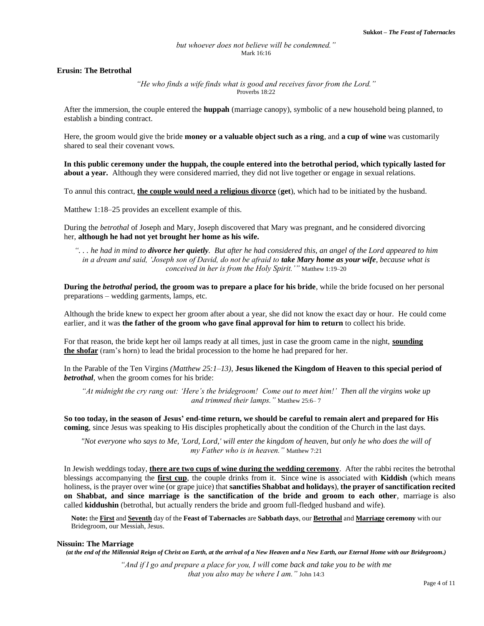# *but whoever does not believe will be condemned."* Mark 16:16

### **Erusin: The Betrothal**

*"He who finds a wife finds what is good and receives favor from the Lord."* Proverbs 18:22

After the immersion, the couple entered the **huppah** (marriage canopy), symbolic of a new household being planned, to establish a binding contract.

Here, the groom would give the bride **money or a valuable object such as a ring**, and **a cup of wine** was customarily shared to seal their covenant vows.

**In this public ceremony under the huppah, the couple entered into the betrothal period, which typically lasted for about a year.** Although they were considered married, they did not live together or engage in sexual relations.

To annul this contract, **the couple would need a religious divorce** (**get**), which had to be initiated by the husband.

Matthew 1:18–25 provides an excellent example of this.

During the *betrothal* of Joseph and Mary, Joseph discovered that Mary was pregnant, and he considered divorcing her, **although he had not yet brought her home as his wife.**

*". . . he had in mind to divorce her quietly. But after he had considered this, an angel of the Lord appeared to him in a dream and said, 'Joseph son of David, do not be afraid to take Mary home as your wife, because what is conceived in her is from the Holy Spirit.'"* Matthew 1:19–20

**During the** *betrothal* **period, the groom was to prepare a place for his bride**, while the bride focused on her personal preparations – wedding garments, lamps, etc.

Although the bride knew to expect her groom after about a year, she did not know the exact day or hour. He could come earlier, and it was **the father of the groom who gave final approval for him to return** to collect his bride.

For that reason, the bride kept her oil lamps ready at all times, just in case the groom came in the night, **sounding the shofar** (ram's horn) to lead the bridal procession to the home he had prepared for her.

In the Parable of the Ten Virgins *(Matthew 25:1–13)*, **Jesus likened the Kingdom of Heaven to this special period of**  *betrothal*, when the groom comes for his bride:

*"At midnight the cry rang out: 'Here's the bridegroom! Come out to meet him!' Then all the virgins woke up and trimmed their lamps."* Matthew 25:6– 7

**So too today, in the season of Jesus' end-time return, we should be careful to remain alert and prepared for His coming**, since Jesus was speaking to His disciples prophetically about the condition of the Church in the last days.

*"Not everyone who says to Me, 'Lord, Lord,' will enter the kingdom of heaven, but only he who does the will of my Father who is in heaven."* Matthew 7:21

In Jewish weddings today, **there are two cups of wine during the wedding ceremony**. After the rabbi recites the betrothal blessings accompanying the **first cup**, the couple drinks from it. Since wine is associated with **Kiddish** (which means holiness, is the prayer over wine (or grape juice) that **sanctifies Shabbat and holidays**), **the prayer of sanctification recited on Shabbat, and since marriage is the sanctification of the bride and groom to each other**, marriage is also called **kiddushin** (betrothal, but actually renders the bride and groom full-fledged husband and wife).

**Note:** the **First** and **Seventh** day of the **Feast of Tabernacles** are **Sabbath days**, our **Betrothal** and **Marriage ceremony** with our Bridegroom, our Messiah, Jesus.

#### **Nissuin: The Marriage**

*(at the end of the Millennial Reign of Christ on Earth, at the arrival of a New Heaven and a New Earth, our Eternal Home with our Bridegroom.)*

*"And if I go and prepare a place for you, I will come back and take you to be with me that you also may be where I am."* John 14:3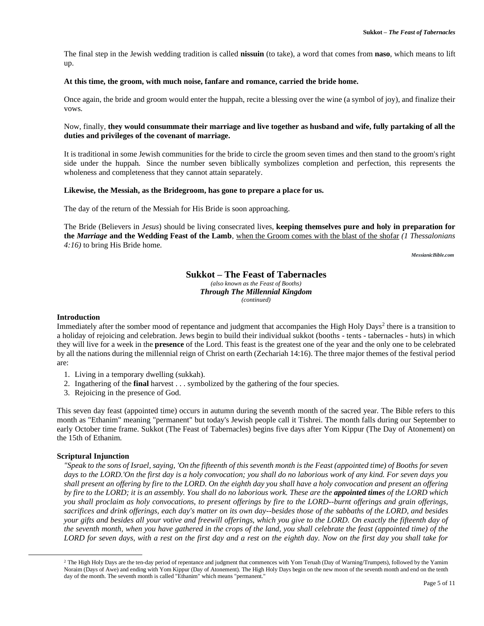The final step in the Jewish wedding tradition is called **nissuin** (to take), a word that comes from **naso**, which means to lift up.

### **At this time, the groom, with much noise, fanfare and romance, carried the bride home.**

Once again, the bride and groom would enter the huppah, recite a blessing over the wine (a symbol of joy), and finalize their vows.

# Now, finally, **they would consummate their marriage and live together as husband and wife, fully partaking of all the duties and privileges of the covenant of marriage.**

It is traditional in some Jewish communities for the bride to circle the groom seven times and then stand to the groom's right side under the huppah. Since the number seven biblically symbolizes completion and perfection, this represents the wholeness and completeness that they cannot attain separately.

### **Likewise, the Messiah, as the Bridegroom, has gone to prepare a place for us.**

The day of the return of the Messiah for His Bride is soon approaching.

The Bride (Believers in *Jesus*) should be living consecrated lives, **keeping themselves pure and holy in preparation for the** *Marriage* **and the Wedding Feast of the Lamb**, when the Groom comes with the blast of the shofar *(1 Thessalonians 4:16)* to bring His Bride home.

*MessianicBible.com*

#### **Sukkot – The Feast of Tabernacles** *(also known as the Feast of Booths) Through The Millennial Kingdom (continued)*

# **Introduction**

Immediately after the somber mood of repentance and judgment that accompanies the High Holy Days<sup>2</sup> there is a transition to a holiday of rejoicing and celebration. Jews begin to build their individual sukkot (booths - tents - tabernacles - huts) in which they will live for a week in the **presence** of the Lord. This feast is the greatest one of the year and the only one to be celebrated by all the nations during the millennial reign of Christ on earth (Zechariah 14:16). The three major themes of the festival period are:

- 1. Living in a temporary dwelling (sukkah).
- 2. Ingathering of the **final** harvest . . . symbolized by the gathering of the four species.
- 3. Rejoicing in the presence of God.

This seven day feast (appointed time) occurs in autumn during the seventh month of the sacred year. The Bible refers to this month as "Ethanim" meaning "permanent" but today's Jewish people call it Tishrei. The month falls during our September to early October time frame. Sukkot (The Feast of Tabernacles) begins five days after Yom Kippur (The Day of Atonement) on the 15th of Ethanim.

# **Scriptural Injunction**

*"Speak to the sons of Israel, saying, 'On the fifteenth of this seventh month is the Feast (appointed time) of Booths for seven days to the LORD.'On the first day is a holy convocation; you shall do no laborious work of any kind. For seven days you shall present an offering by fire to the LORD. On the eighth day you shall have a holy convocation and present an offering by fire to the LORD; it is an assembly. You shall do no laborious work. These are the appointed times of the LORD which you shall proclaim as holy convocations, to present offerings by fire to the LORD--burnt offerings and grain offerings, sacrifices and drink offerings, each day's matter on its own day--besides those of the sabbaths of the LORD, and besides your gifts and besides all your votive and freewill offerings, which you give to the LORD. On exactly the fifteenth day of the seventh month, when you have gathered in the crops of the land, you shall celebrate the feast (appointed time) of the LORD for seven days, with a rest on the first day and a rest on the eighth day. Now on the first day you shall take for* 

<sup>&</sup>lt;sup>2</sup> The High Holy Days are the ten-day period of repentance and judgment that commences with Yom Teruah (Day of Warning/Trumpets), followed by the Yamim Noraim (Days of Awe) and ending with Yom Kippur (Day of Atonement). The High Holy Days begin on the new moon of the seventh month and end on the tenth day of the month. The seventh month is called "Ethanim" which means "permanent."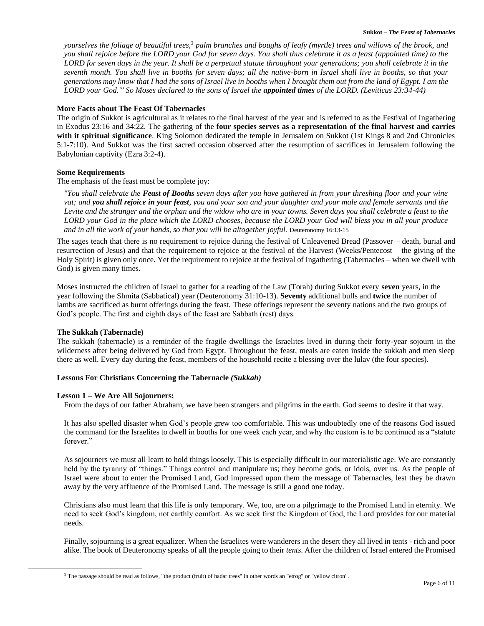*yourselves the foliage of beautiful trees,<sup>3</sup> palm branches and boughs of leafy (myrtle) trees and willows of the brook, and you shall rejoice before the LORD your God for seven days. You shall thus celebrate it as a feast (appointed time) to the LORD for seven days in the year. It shall be a perpetual statute throughout your generations; you shall celebrate it in the seventh month. You shall live in booths for seven days; all the native-born in Israel shall live in booths, so that your generations may know that I had the sons of Israel live in booths when I brought them out from the land of Egypt. I am the LORD your God.'" So Moses declared to the sons of Israel the appointed times of the LORD. (Leviticus 23:34-44)*

# **More Facts about The Feast Of Tabernacles**

The origin of Sukkot is agricultural as it relates to the final harvest of the year and is referred to as the Festival of Ingathering in Exodus 23:16 and 34:22. The gathering of the **four species serves as a representation of the final harvest and carries with it spiritual significance**. King Solomon dedicated the temple in Jerusalem on Sukkot (1st Kings 8 and 2nd Chronicles 5:1-7:10). And Sukkot was the first sacred occasion observed after the resumption of sacrifices in Jerusalem following the Babylonian captivity (Ezra 3:2-4).

# **Some Requirements**

The emphasis of the feast must be complete joy:

*"You shall celebrate the Feast of Booths seven days after you have gathered in from your threshing floor and your wine vat; and you shall rejoice in your feast, you and your son and your daughter and your male and female servants and the Levite and the stranger and the orphan and the widow who are in your towns. Seven days you shall celebrate a feast to the LORD your God in the place which the LORD chooses, because the LORD your God will bless you in all your produce*  and in all the work of your hands, so that you will be altogether joyful. Deuteronomy 16:13-15

The sages teach that there is no requirement to rejoice during the festival of Unleavened Bread (Passover – death, burial and resurrection of Jesus) and that the requirement to rejoice at the festival of the Harvest (Weeks/Pentecost – the giving of the Holy Spirit) is given only once. Yet the requirement to rejoice at the festival of Ingathering (Tabernacles – when we dwell with God) is given many times.

Moses instructed the children of Israel to gather for a reading of the Law (Torah) during Sukkot every **seven** years, in the year following the Shmita (Sabbatical) year (Deuteronomy 31:10-13). **Seventy** additional bulls and **twice** the number of lambs are sacrificed as burnt offerings during the feast. These offerings represent the seventy nations and the two groups of God's people. The first and eighth days of the feast are Sabbath (rest) days.

# **The Sukkah (Tabernacle)**

The sukkah (tabernacle) is a reminder of the fragile dwellings the Israelites lived in during their forty-year sojourn in the wilderness after being delivered by God from Egypt. Throughout the feast, meals are eaten inside the sukkah and men sleep there as well. Every day during the feast, members of the household recite a blessing over the lulav (the four species).

# **Lessons For Christians Concerning the Tabernacle** *(Sukkah)*

# **Lesson 1 – We Are All Sojourners:**

From the days of our father Abraham, we have been strangers and pilgrims in the earth. God seems to desire it that way.

It has also spelled disaster when God's people grew too comfortable. This was undoubtedly one of the reasons God issued the command for the Israelites to dwell in booths for one week each year, and why the custom is to be continued as a "statute forever."

As sojourners we must all learn to hold things loosely. This is especially difficult in our materialistic age. We are constantly held by the tyranny of "things." Things control and manipulate us; they become gods, or idols, over us. As the people of Israel were about to enter the Promised Land, God impressed upon them the message of Tabernacles, lest they be drawn away by the very affluence of the Promised Land. The message is still a good one today.

Christians also must learn that this life is only temporary. We, too, are on a pilgrimage to the Promised Land in eternity. We need to seek God's kingdom, not earthly comfort. As we seek first the Kingdom of God, the Lord provides for our material needs.

Finally, sojourning is a great equalizer. When the Israelites were wanderers in the desert they all lived in tents - rich and poor alike. The book of Deuteronomy speaks of all the people going to their *tents*. After the children of Israel entered the Promised

<sup>&</sup>lt;sup>3</sup> The passage should be read as follows, "the product (fruit) of hadar trees" in other words an "etrog" or "yellow citron".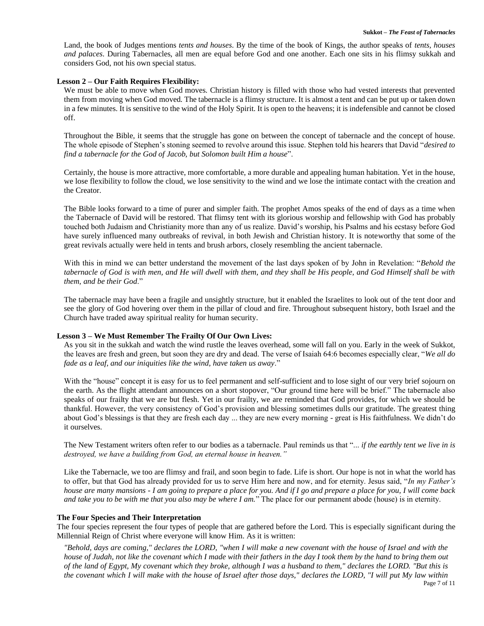Land, the book of Judges mentions *tents and houses*. By the time of the book of Kings, the author speaks of *tents, houses and palaces*. During Tabernacles, all men are equal before God and one another. Each one sits in his flimsy sukkah and considers God, not his own special status.

### **Lesson 2 – Our Faith Requires Flexibility:**

We must be able to move when God moves. Christian history is filled with those who had vested interests that prevented them from moving when God moved. The tabernacle is a flimsy structure. It is almost a tent and can be put up or taken down in a few minutes. It is sensitive to the wind of the Holy Spirit. It is open to the heavens; it is indefensible and cannot be closed off.

Throughout the Bible, it seems that the struggle has gone on between the concept of tabernacle and the concept of house. The whole episode of Stephen's stoning seemed to revolve around this issue. Stephen told his hearers that David "*desired to find a tabernacle for the God of Jacob, but Solomon built Him a house*".

Certainly, the house is more attractive, more comfortable, a more durable and appealing human habitation. Yet in the house, we lose flexibility to follow the cloud, we lose sensitivity to the wind and we lose the intimate contact with the creation and the Creator.

The Bible looks forward to a time of purer and simpler faith. The prophet Amos speaks of the end of days as a time when the Tabernacle of David will be restored. That flimsy tent with its glorious worship and fellowship with God has probably touched both Judaism and Christianity more than any of us realize. David's worship, his Psalms and his ecstasy before God have surely influenced many outbreaks of revival, in both Jewish and Christian history. It is noteworthy that some of the great revivals actually were held in tents and brush arbors, closely resembling the ancient tabernacle.

With this in mind we can better understand the movement of the last days spoken of by John in Revelation: "*Behold the tabernacle of God is with men, and He will dwell with them, and they shall be His people, and God Himself shall be with them, and be their God*."

The tabernacle may have been a fragile and unsightly structure, but it enabled the Israelites to look out of the tent door and see the glory of God hovering over them in the pillar of cloud and fire. Throughout subsequent history, both Israel and the Church have traded away spiritual reality for human security.

#### **Lesson 3 – We Must Remember The Frailty Of Our Own Lives:**

As you sit in the sukkah and watch the wind rustle the leaves overhead, some will fall on you. Early in the week of Sukkot, the leaves are fresh and green, but soon they are dry and dead. The verse of Isaiah 64:6 becomes especially clear, "*We all do fade as a leaf, and our iniquities like the wind, have taken us away*."

With the "house" concept it is easy for us to feel permanent and self-sufficient and to lose sight of our very brief sojourn on the earth. As the flight attendant announces on a short stopover, "Our ground time here will be brief." The tabernacle also speaks of our frailty that we are but flesh. Yet in our frailty, we are reminded that God provides, for which we should be thankful. However, the very consistency of God's provision and blessing sometimes dulls our gratitude. The greatest thing about God's blessings is that they are fresh each day ... they are new every morning - great is His faithfulness. We didn't do it ourselves.

The New Testament writers often refer to our bodies as a tabernacle. Paul reminds us that "... *if the earthly tent we live in is destroyed, we have a building from God, an eternal house in heaven."*

Like the Tabernacle, we too are flimsy and frail, and soon begin to fade. Life is short. Our hope is not in what the world has to offer, but that God has already provided for us to serve Him here and now, and for eternity. Jesus said, "*In my Father's house are many mansions - I am going to prepare a place for you. And if I go and prepare a place for you, I will come back and take you to be with me that you also may be where I am.*" The place for our permanent abode (house) is in eternity.

#### **The Four Species and Their Interpretation**

The four species represent the four types of people that are gathered before the Lord. This is especially significant during the Millennial Reign of Christ where everyone will know Him. As it is written:

*"Behold, days are coming," declares the LORD, "when I will make a new covenant with the house of Israel and with the house of Judah, not like the covenant which I made with their fathers in the day I took them by the hand to bring them out of the land of Egypt, My covenant which they broke, although I was a husband to them," declares the LORD. "But this is the covenant which I will make with the house of Israel after those days," declares the LORD, "I will put My law within*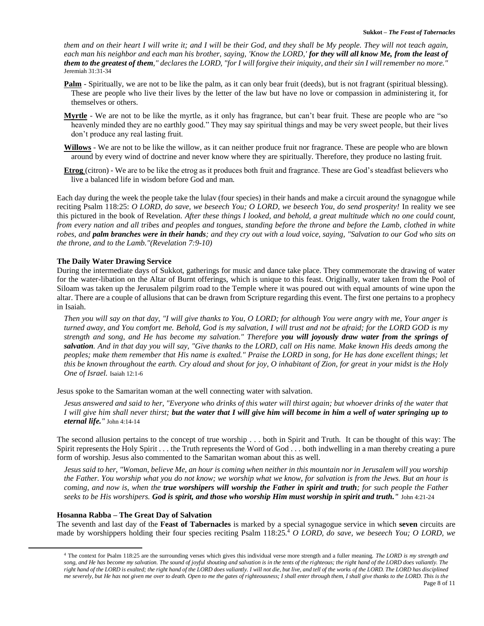*them and on their heart I will write it; and I will be their God, and they shall be My people. They will not teach again, each man his neighbor and each man his brother, saying, 'Know the LORD,' for they will all know Me, from the least of them to the greatest of them," declares the LORD, "for I will forgive their iniquity, and their sin I will remember no more."*  Jeremiah 31:31-34

- **Palm** Spiritually, we are not to be like the palm, as it can only bear fruit (deeds), but is not fragrant (spiritual blessing). These are people who live their lives by the letter of the law but have no love or compassion in administering it, for themselves or others.
- **Myrtle** We are not to be like the myrtle, as it only has fragrance, but can't bear fruit. These are people who are "so heavenly minded they are no earthly good." They may say spiritual things and may be very sweet people, but their lives don't produce any real lasting fruit.
- **Willows** We are not to be like the willow, as it can neither produce fruit nor fragrance. These are people who are blown around by every wind of doctrine and never know where they are spiritually. Therefore, they produce no lasting fruit.
- **Etrog** (citron) We are to be like the etrog as it produces both fruit and fragrance. These are God's steadfast believers who live a balanced life in wisdom before God and man.

Each day during the week the people take the lulav (four species) in their hands and make a circuit around the synagogue while reciting Psalm 118:25: *O LORD, do save, we beseech You; O LORD, we beseech You, do send prosperity!* In reality we see this pictured in the book of Revelation. *After these things I looked, and behold, a great multitude which no one could count, from every nation and all tribes and peoples and tongues, standing before the throne and before the Lamb, clothed in white robes, and palm branches were in their hands; and they cry out with a loud voice, saying, "Salvation to our God who sits on the throne, and to the Lamb."(Revelation 7:9-10)*

# **The Daily Water Drawing Service**

During the intermediate days of Sukkot, gatherings for music and dance take place. They commemorate the drawing of water for the water-libation on the Altar of Burnt offerings, which is unique to this feast. Originally, water taken from the Pool of Siloam was taken up the Jerusalem pilgrim road to the Temple where it was poured out with equal amounts of wine upon the altar. There are a couple of allusions that can be drawn from Scripture regarding this event. The first one pertains to a prophecy in Isaiah.

*Then you will say on that day, "I will give thanks to You, O LORD; for although You were angry with me, Your anger is turned away, and You comfort me. Behold, God is my salvation, I will trust and not be afraid; for the LORD GOD is my strength and song, and He has become my salvation." Therefore you will joyously draw water from the springs of salvation. And in that day you will say, "Give thanks to the LORD, call on His name. Make known His deeds among the peoples; make them remember that His name is exalted." Praise the LORD in song, for He has done excellent things; let this be known throughout the earth. Cry aloud and shout for joy, O inhabitant of Zion, for great in your midst is the Holy One of Israel.* Isaiah 12:1-6

Jesus spoke to the Samaritan woman at the well connecting water with salvation.

*Jesus answered and said to her, "Everyone who drinks of this water will thirst again; but whoever drinks of the water that I will give him shall never thirst; but the water that I will give him will become in him a well of water springing up to eternal life."* John 4:14-14

The second allusion pertains to the concept of true worship . . . both in Spirit and Truth. It can be thought of this way: The Spirit represents the Holy Spirit . . . the Truth represents the Word of God . . . both indwelling in a man thereby creating a pure form of worship. Jesus also commented to the Samaritan woman about this as well.

*Jesus said to her, "Woman, believe Me, an hour is coming when neither in this mountain nor in Jerusalem will you worship the Father. You worship what you do not know; we worship what we know, for salvation is from the Jews. But an hour is coming, and now is, when the true worshipers will worship the Father in spirit and truth; for such people the Father seeks to be His worshipers. God is spirit, and those who worship Him must worship in spirit and truth."* John 4:21-24

# **Hosanna Rabba – The Great Day of Salvation**

The seventh and last day of the **Feast of Tabernacles** is marked by a special synagogue service in which **seven** circuits are made by worshippers holding their four species reciting Psalm 118:25.<sup>4</sup> *O LORD, do save, we beseech You; O LORD, we* 

Page 8 of 11 <sup>4</sup> The context for Psalm 118:25 are the surrounding verses which gives this individual verse more strength and a fuller meaning. *The LORD is my strength and*  song, and He has become my salvation. The sound of joyful shouting and salvation is in the tents of the righteous; the right hand of the LORD does valiantly. The *right hand of the LORD is exalted; the right hand of the LORD does valiantly. I will not die, but live, and tell of the works of the LORD. The LORD has disciplined me severely, but He has not given me over to death. Open to me the gates of righteousness; I shall enter through them, I shall give thanks to the LORD. This is the*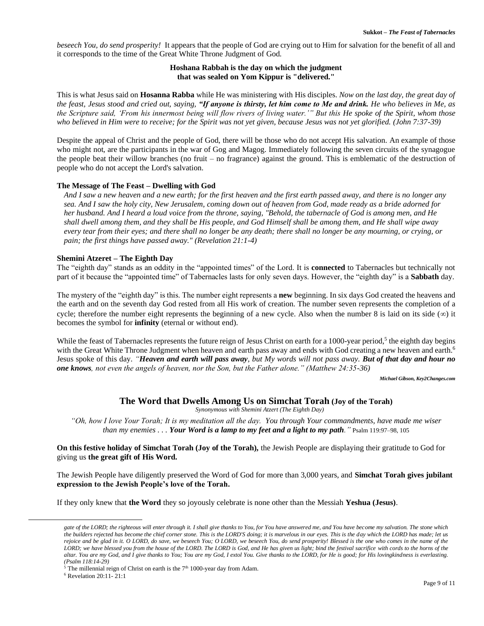*beseech You, do send prosperity!* It appears that the people of God are crying out to Him for salvation for the benefit of all and it corresponds to the time of the Great White Throne Judgment of God.

# **Hoshana Rabbah is the day on which the judgment that was sealed on Yom Kippur is "delivered."**

This is what Jesus said on **Hosanna Rabba** while He was ministering with His disciples. *Now on the last day, the great day of the feast, Jesus stood and cried out, saying, "If anyone is thirsty, let him come to Me and drink. He who believes in Me, as the Scripture said, 'From his innermost being will flow rivers of living water.'" But this He spoke of the Spirit, whom those who believed in Him were to receive; for the Spirit was not yet given, because Jesus was not yet glorified. (John 7:37-39)* 

Despite the appeal of Christ and the people of God, there will be those who do not accept His salvation. An example of those who might not, are the participants in the war of Gog and Magog. Immediately following the seven circuits of the synagogue the people beat their willow branches (no fruit – no fragrance) against the ground. This is emblematic of the destruction of people who do not accept the Lord's salvation.

# **The Message of The Feast – Dwelling with God**

*And I saw a new heaven and a new earth; for the first heaven and the first earth passed away, and there is no longer any sea. And I saw the holy city, New Jerusalem, coming down out of heaven from God, made ready as a bride adorned for her husband. And I heard a loud voice from the throne, saying, "Behold, the tabernacle of God is among men, and He shall dwell among them, and they shall be His people, and God Himself shall be among them, and He shall wipe away every tear from their eyes; and there shall no longer be any death; there shall no longer be any mourning, or crying, or pain; the first things have passed away." (Revelation 21:1-4)*

### **Shemini Atzeret – The Eighth Day**

The "eighth day" stands as an oddity in the "appointed times" of the Lord. It is **connected** to Tabernacles but technically not part of it because the "appointed time" of Tabernacles lasts for only seven days. However, the "eighth day" is a **Sabbath** day.

The mystery of the "eighth day" is this. The number eight represents a **new** beginning. In six days God created the heavens and the earth and on the seventh day God rested from all His work of creation. The number seven represents the completion of a cycle; therefore the number eight represents the beginning of a new cycle. Also when the number 8 is laid on its side  $(\infty)$  it becomes the symbol for **infinity** (eternal or without end).

While the feast of Tabernacles represents the future reign of Jesus Christ on earth for a 1000-year period,<sup>5</sup> the eighth day begins with the Great White Throne Judgment when heaven and earth pass away and ends with God creating a new heaven and earth.<sup>6</sup> Jesus spoke of this day. *"Heaven and earth will pass away, but My words will not pass away. But of that day and hour no one knows, not even the angels of heaven, nor the Son, but the Father alone." (Matthew 24:35-36)*

*Michael Gibson, Key2Changes.com*

# **The Word that Dwells Among Us on Simchat Torah (Joy of the Torah)**

*Synonymous with Shemini Atzert (The Eighth Day)*

*"Oh, how I love Your Torah; It is my meditation all the day. You through Your commandments, have made me wiser than my enemies . . . Your Word is a lamp to my feet and a light to my path."* Psalm 119:97–98, 105

**On this festive holiday of Simchat Torah (Joy of the Torah),** the Jewish People are displaying their gratitude to God for giving us **the great gift of His Word.**

The Jewish People have diligently preserved the Word of God for more than 3,000 years, and **Simchat Torah gives jubilant expression to the Jewish People's love of the Torah.**

If they only knew that **the Word** they so joyously celebrate is none other than the Messiah **Yeshua (Jesus)**.

*gate of the LORD; the righteous will enter through it. I shall give thanks to You, for You have answered me, and You have become my salvation. The stone which the builders rejected has become the chief corner stone. This is the LORD'S doing; it is marvelous in our eyes. This is the day which the LORD has made; let us rejoice and be glad in it. O LORD, do save, we beseech You; O LORD, we beseech You, do send prosperity! Blessed is the one who comes in the name of the LORD; we have blessed you from the house of the LORD. The LORD is God, and He has given us light; bind the festival sacrifice with cords to the horns of the altar. You are my God, and I give thanks to You; You are my God, I extol You. Give thanks to the LORD, for He is good; for His lovingkindness is everlasting. (Psalm 118:14-29)*

<sup>&</sup>lt;sup>5</sup> The millennial reign of Christ on earth is the  $7<sup>th</sup>$  1000-year day from Adam.

<sup>6</sup> Revelation 20:11- 21:1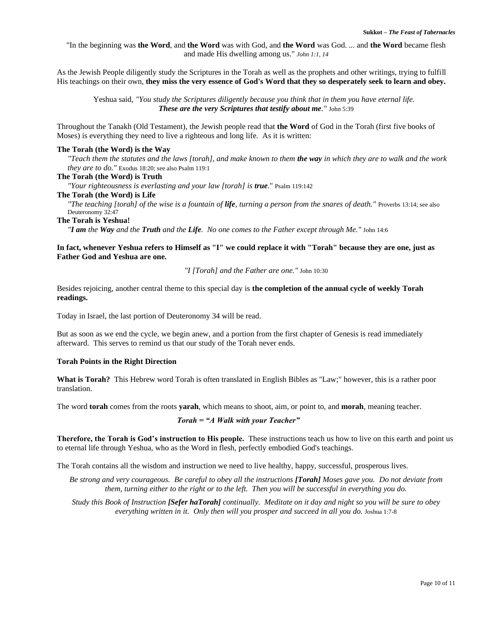"In the beginning was **the Word**, and **the Word** was with God, and **the Word** was God. ... and **the Word** became flesh and made His dwelling among us." *John 1:1, 14*

As the Jewish People diligently study the Scriptures in the Torah as well as the prophets and other writings, trying to fulfill His teachings on their own, **they miss the very essence of God's Word that they so desperately seek to learn and obey.**

Yeshua said, *"You study the Scriptures diligently because you think that in them you have eternal life. These are the very Scriptures that testify about me."* John 5:39

Throughout the Tanakh (Old Testament), the Jewish people read that **the Word** of God in the Torah (first five books of Moses) is everything they need to live a righteous and long life. As it is written:

### **The Torah (the Word) is the Way**

*"Teach them the statutes and the laws [torah], and make known to them the way in which they are to walk and the work they are to do."* Exodus 18:20; see also Psalm 119:1

#### **The Torah (the Word) is Truth**

*"Your righteousness is everlasting and your law [torah] is true*." Psalm 119:142

# **The Torah (the Word) is Life**

*"The teaching [torah] of the wise is a fountain of life, turning a person from the snares of death."* Proverbs 13:14; see also Deuteronomy 32:47

#### **The Torah is Yeshua!**

*"I am the Way and the Truth and the Life. No one comes to the Father except through Me."* John 14:6

# **In fact, whenever Yeshua refers to Himself as "I" we could replace it with "Torah" because they are one, just as Father God and Yeshua are one.**

#### *"I [Torah] and the Father are one."* John 10:30

Besides rejoicing, another central theme to this special day is **the completion of the annual cycle of weekly Torah readings.**

Today in Israel, the last portion of Deuteronomy 34 will be read.

But as soon as we end the cycle, we begin anew, and a portion from the first chapter of Genesis is read immediately afterward. This serves to remind us that our study of the Torah never ends.

### **Torah Points in the Right Direction**

**What is Torah?** This Hebrew word Torah is often translated in English Bibles as "Law;" however, this is a rather poor translation.

The word **torah** comes from the roots **yarah**, which means to shoot, aim, or point to, and **morah**, meaning teacher.

### *Torah = "A Walk with your Teacher"*

**Therefore, the Torah is God's instruction to His people.** These instructions teach us how to live on this earth and point us to eternal life through Yeshua, who as the Word in flesh, perfectly embodied God's teachings.

The Torah contains all the wisdom and instruction we need to live healthy, happy, successful, prosperous lives.

*Be strong and very courageous. Be careful to obey all the instructions [Torah] Moses gave you. Do not deviate from them, turning either to the right or to the left. Then you will be successful in everything you do.*

*Study this Book of Instruction [Sefer haTorah] continually. Meditate on it day and night so you will be sure to obey everything written in it. Only then will you prosper and succeed in all you do.* Joshua 1:7-8